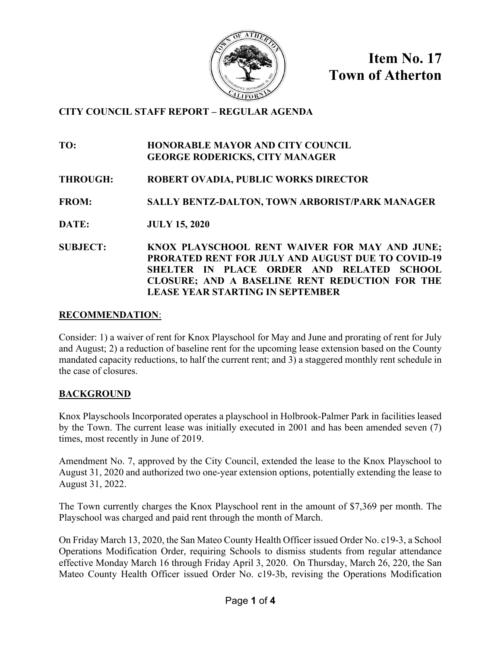

**Item No. 17 Town of Atherton**

# **CITY COUNCIL STAFF REPORT – REGULAR AGENDA**

#### **TO: HONORABLE MAYOR AND CITY COUNCIL GEORGE RODERICKS, CITY MANAGER**

# **THROUGH: ROBERT OVADIA, PUBLIC WORKS DIRECTOR**

# **FROM: SALLY BENTZ-DALTON, TOWN ARBORIST/PARK MANAGER**

**DATE: JULY 15, 2020** 

**SUBJECT: KNOX PLAYSCHOOL RENT WAIVER FOR MAY AND JUNE; PRORATED RENT FOR JULY AND AUGUST DUE TO COVID-19 SHELTER IN PLACE ORDER AND RELATED SCHOOL CLOSURE; AND A BASELINE RENT REDUCTION FOR THE LEASE YEAR STARTING IN SEPTEMBER**

## **RECOMMENDATION**:

Consider: 1) a waiver of rent for Knox Playschool for May and June and prorating of rent for July and August; 2) a reduction of baseline rent for the upcoming lease extension based on the County mandated capacity reductions, to half the current rent; and 3) a staggered monthly rent schedule in the case of closures.

## **BACKGROUND**

Knox Playschools Incorporated operates a playschool in Holbrook-Palmer Park in facilities leased by the Town. The current lease was initially executed in 2001 and has been amended seven (7) times, most recently in June of 2019.

Amendment No. 7, approved by the City Council, extended the lease to the Knox Playschool to August 31, 2020 and authorized two one-year extension options, potentially extending the lease to August 31, 2022.

The Town currently charges the Knox Playschool rent in the amount of \$7,369 per month. The Playschool was charged and paid rent through the month of March.

On Friday March 13, 2020, the San Mateo County Health Officer issued Order No. c19-3, a School Operations Modification Order, requiring Schools to dismiss students from regular attendance effective Monday March 16 through Friday April 3, 2020. On Thursday, March 26, 220, the San Mateo County Health Officer issued Order No. c19-3b, revising the Operations Modification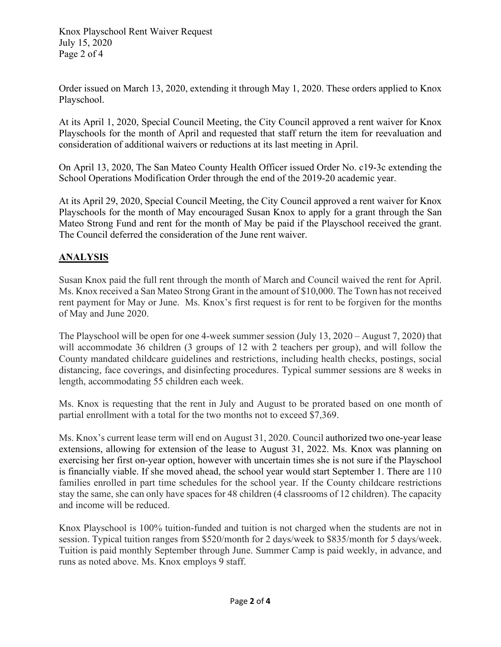Knox Playschool Rent Waiver Request July 15, 2020 Page 2 of 4

Order issued on March 13, 2020, extending it through May 1, 2020. These orders applied to Knox Playschool.

At its April 1, 2020, Special Council Meeting, the City Council approved a rent waiver for Knox Playschools for the month of April and requested that staff return the item for reevaluation and consideration of additional waivers or reductions at its last meeting in April.

On April 13, 2020, The San Mateo County Health Officer issued Order No. c19-3c extending the School Operations Modification Order through the end of the 2019-20 academic year.

At its April 29, 2020, Special Council Meeting, the City Council approved a rent waiver for Knox Playschools for the month of May encouraged Susan Knox to apply for a grant through the San Mateo Strong Fund and rent for the month of May be paid if the Playschool received the grant. The Council deferred the consideration of the June rent waiver.

# **ANALYSIS**

Susan Knox paid the full rent through the month of March and Council waived the rent for April. Ms. Knox received a San Mateo Strong Grant in the amount of \$10,000. The Town has not received rent payment for May or June. Ms. Knox's first request is for rent to be forgiven for the months of May and June 2020.

The Playschool will be open for one 4-week summer session (July 13, 2020 – August 7, 2020) that will accommodate 36 children (3 groups of 12 with 2 teachers per group), and will follow the County mandated childcare guidelines and restrictions, including health checks, postings, social distancing, face coverings, and disinfecting procedures. Typical summer sessions are 8 weeks in length, accommodating 55 children each week.

Ms. Knox is requesting that the rent in July and August to be prorated based on one month of partial enrollment with a total for the two months not to exceed \$7,369.

Ms. Knox's current lease term will end on August 31, 2020. Council authorized two one-year lease extensions, allowing for extension of the lease to August 31, 2022. Ms. Knox was planning on exercising her first on-year option, however with uncertain times she is not sure if the Playschool is financially viable. If she moved ahead, the school year would start September 1. There are 110 families enrolled in part time schedules for the school year. If the County childcare restrictions stay the same, she can only have spaces for 48 children (4 classrooms of 12 children). The capacity and income will be reduced.

Knox Playschool is 100% tuition-funded and tuition is not charged when the students are not in session. Typical tuition ranges from \$520/month for 2 days/week to \$835/month for 5 days/week. Tuition is paid monthly September through June. Summer Camp is paid weekly, in advance, and runs as noted above. Ms. Knox employs 9 staff.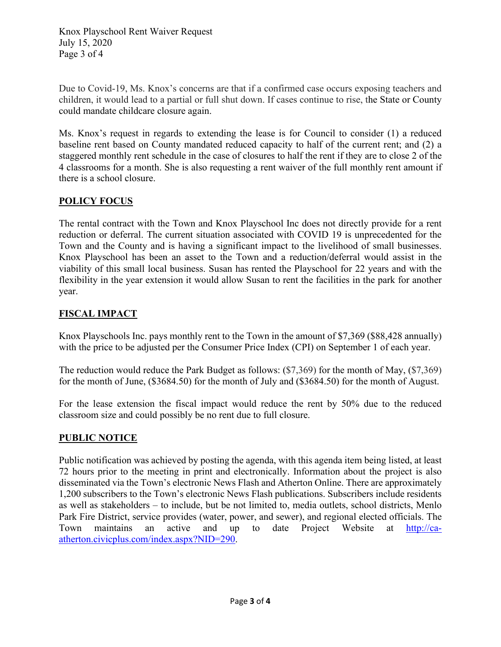Knox Playschool Rent Waiver Request July 15, 2020 Page 3 of 4

Due to Covid-19, Ms. Knox's concerns are that if a confirmed case occurs exposing teachers and children, it would lead to a partial or full shut down. If cases continue to rise, the State or County could mandate childcare closure again.

Ms. Knox's request in regards to extending the lease is for Council to consider (1) a reduced baseline rent based on County mandated reduced capacity to half of the current rent; and (2) a staggered monthly rent schedule in the case of closures to half the rent if they are to close 2 of the 4 classrooms for a month. She is also requesting a rent waiver of the full monthly rent amount if there is a school closure.

# **POLICY FOCUS**

The rental contract with the Town and Knox Playschool Inc does not directly provide for a rent reduction or deferral. The current situation associated with COVID 19 is unprecedented for the Town and the County and is having a significant impact to the livelihood of small businesses. Knox Playschool has been an asset to the Town and a reduction/deferral would assist in the viability of this small local business. Susan has rented the Playschool for 22 years and with the flexibility in the year extension it would allow Susan to rent the facilities in the park for another year.

# **FISCAL IMPACT**

Knox Playschools Inc. pays monthly rent to the Town in the amount of \$7,369 (\$88,428 annually) with the price to be adjusted per the Consumer Price Index (CPI) on September 1 of each year.

The reduction would reduce the Park Budget as follows: (\$7,369) for the month of May, (\$7,369) for the month of June, (\$3684.50) for the month of July and (\$3684.50) for the month of August.

For the lease extension the fiscal impact would reduce the rent by 50% due to the reduced classroom size and could possibly be no rent due to full closure.

# **PUBLIC NOTICE**

Public notification was achieved by posting the agenda, with this agenda item being listed, at least 72 hours prior to the meeting in print and electronically. Information about the project is also disseminated via the Town's electronic News Flash and Atherton Online. There are approximately 1,200 subscribers to the Town's electronic News Flash publications. Subscribers include residents as well as stakeholders – to include, but be not limited to, media outlets, school districts, Menlo Park Fire District, service provides (water, power, and sewer), and regional elected officials. The Town maintains an active and up to date Project Website at [http://ca](http://ca-atherton.civicplus.com/index.aspx?NID=290)[atherton.civicplus.com/index.aspx?NID=290.](http://ca-atherton.civicplus.com/index.aspx?NID=290)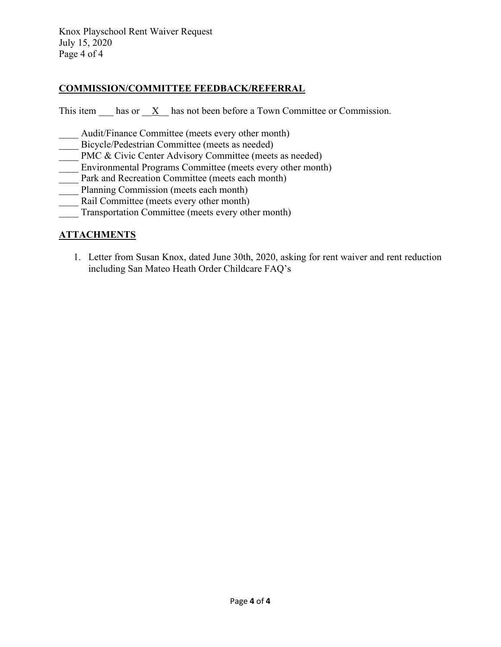Knox Playschool Rent Waiver Request July 15, 2020 Page 4 of 4

## **COMMISSION/COMMITTEE FEEDBACK/REFERRAL**

This item has or  $\overline{X}$  has not been before a Town Committee or Commission.

- Audit/Finance Committee (meets every other month)
- Bicycle/Pedestrian Committee (meets as needed)
- PMC & Civic Center Advisory Committee (meets as needed)
- Environmental Programs Committee (meets every other month)
- Park and Recreation Committee (meets each month)
- Planning Commission (meets each month)
- Rail Committee (meets every other month)
- Transportation Committee (meets every other month)

## **ATTACHMENTS**

1. Letter from Susan Knox, dated June 30th, 2020, asking for rent waiver and rent reduction including San Mateo Heath Order Childcare FAQ's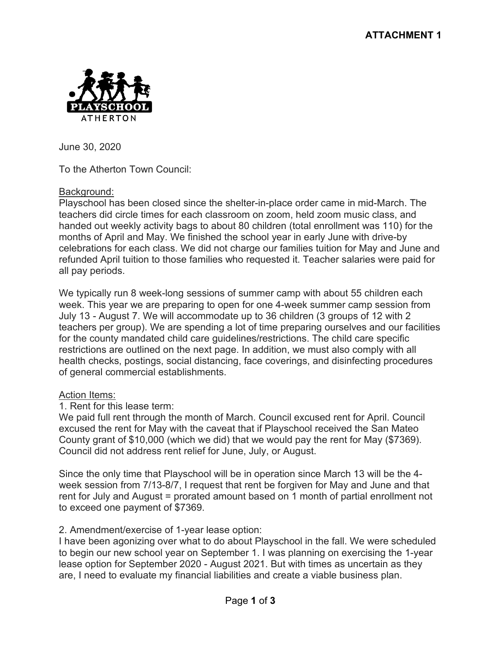

June 30, 2020

To the Atherton Town Council:

## Background:

Playschool has been closed since the shelter-in-place order came in mid-March. The teachers did circle times for each classroom on zoom, held zoom music class, and handed out weekly activity bags to about 80 children (total enrollment was 110) for the months of April and May. We finished the school year in early June with drive-by celebrations for each class. We did not charge our families tuition for May and June and refunded April tuition to those families who requested it. Teacher salaries were paid for all pay periods.

We typically run 8 week-long sessions of summer camp with about 55 children each week. This year we are preparing to open for one 4-week summer camp session from July 13 - August 7. We will accommodate up to 36 children (3 groups of 12 with 2 teachers per group). We are spending a lot of time preparing ourselves and our facilities for the county mandated child care guidelines/restrictions. The child care specific restrictions are outlined on the next page. In addition, we must also comply with all health checks, postings, social distancing, face coverings, and disinfecting procedures of general commercial establishments.

## Action Items:

1. Rent for this lease term:

We paid full rent through the month of March. Council excused rent for April. Council excused the rent for May with the caveat that if Playschool received the San Mateo County grant of \$10,000 (which we did) that we would pay the rent for May (\$7369). Council did not address rent relief for June, July, or August.

Since the only time that Playschool will be in operation since March 13 will be the 4 week session from 7/13-8/7, I request that rent be forgiven for May and June and that rent for July and August = prorated amount based on 1 month of partial enrollment not to exceed one payment of \$7369.

## 2. Amendment/exercise of 1-year lease option:

I have been agonizing over what to do about Playschool in the fall. We were scheduled to begin our new school year on September 1. I was planning on exercising the 1-year lease option for September 2020 - August 2021. But with times as uncertain as they are, I need to evaluate my financial liabilities and create a viable business plan.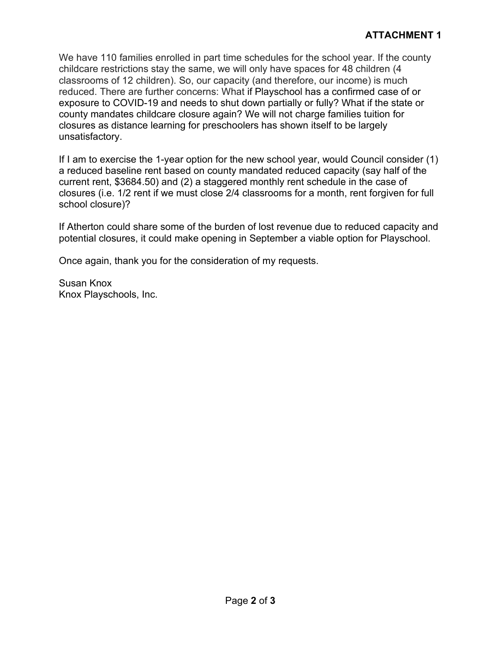We have 110 families enrolled in part time schedules for the school year. If the county childcare restrictions stay the same, we will only have spaces for 48 children (4 classrooms of 12 children). So, our capacity (and therefore, our income) is much reduced. There are further concerns: What if Playschool has a confirmed case of or exposure to COVID-19 and needs to shut down partially or fully? What if the state or county mandates childcare closure again? We will not charge families tuition for closures as distance learning for preschoolers has shown itself to be largely unsatisfactory.

If I am to exercise the 1-year option for the new school year, would Council consider (1) a reduced baseline rent based on county mandated reduced capacity (say half of the current rent, \$3684.50) and (2) a staggered monthly rent schedule in the case of closures (i.e. 1/2 rent if we must close 2/4 classrooms for a month, rent forgiven for full school closure)?

If Atherton could share some of the burden of lost revenue due to reduced capacity and potential closures, it could make opening in September a viable option for Playschool.

Once again, thank you for the consideration of my requests.

Susan Knox Knox Playschools, Inc.